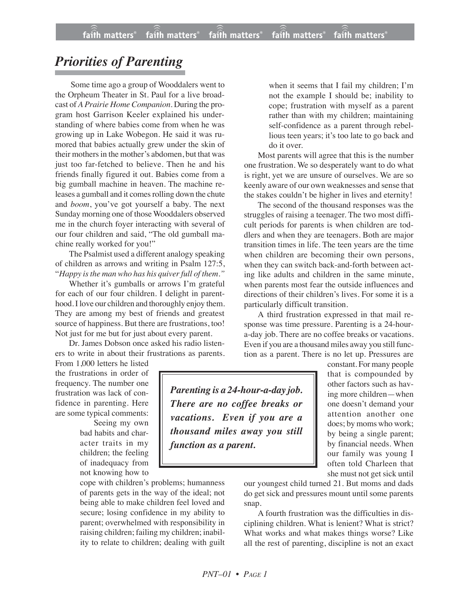## *Priorities of Parenting*

Some time ago a group of Wooddalers went to the Orpheum Theater in St. Paul for a live broadcast of *A Prairie Home Companion*. During the program host Garrison Keeler explained his understanding of where babies come from when he was growing up in Lake Wobegon. He said it was rumored that babies actually grew under the skin of their mothers in the mother's abdomen, but that was just too far-fetched to believe. Then he and his friends finally figured it out. Babies come from a big gumball machine in heaven. The machine releases a gumball and it comes rolling down the chute and *boom*, you've got yourself a baby. The next Sunday morning one of those Wooddalers observed me in the church foyer interacting with several of our four children and said, "The old gumball machine really worked for you!"

The Psalmist used a different analogy speaking of children as arrows and writing in Psalm 127:5, "*Happy isthe man who has his quiverfull of them."*

Whether it's gumballs or arrows I'm grateful for each of our four children. I delight in parenthood. I love our children and thoroughly enjoy them. They are among my best of friends and greatest source of happiness. But there are frustrations, too! Not just for me but for just about every parent.

Dr. James Dobson once asked his radio listeners to write in about their frustrations as parents.

From 1,000 letters he listed the frustrations in order of frequency. The number one frustration was lack of confidence in parenting. Here are some typical comments:

Seeing my own bad habits and character traits in my children; the feeling of inadequacy from not knowing how to

cope with children's problems; humanness of parents gets in the way of the ideal; not being able to make children feel loved and secure; losing confidence in my ability to parent; overwhelmed with responsibility in raising children; failing my children; inability to relate to children; dealing with guilt when it seems that I fail my children; I'm not the example I should be; inability to cope; frustration with myself as a parent rather than with my children; maintaining self-confidence as a parent through rebellious teen years; it's too late to go back and do it over.

Most parents will agree that this is the number one frustration. We so desperately want to do what is right, yet we are unsure of ourselves. We are so keenly aware of our own weaknesses and sense that the stakes couldn't be higher in lives and eternity!

The second of the thousand responses was the struggles of raising a teenager. The two most difficult periods for parents is when children are toddlers and when they are teenagers. Both are major transition times in life. The teen years are the time when children are becoming their own persons, when they can switch back-and-forth between acting like adults and children in the same minute, when parents most fear the outside influences and directions of their children's lives. For some it is a particularly difficult transition.

A third frustration expressed in that mail response was time pressure. Parenting is a 24-houra-day job. There are no coffee breaks or vacations. Even if you are a thousand miles away you still function as a parent. There is no let up. Pressures are

> constant. For many people that is compounded by other factors such as having more children—when one doesn't demand your attention another one does; by moms who work; by being a single parent; by financial needs. When our family was young I often told Charleen that she must not get sick until

our youngest child turned 21. But moms and dads do get sick and pressures mount until some parents snap.

A fourth frustration was the difficulties in disciplining children. What is lenient? What is strict? What works and what makes things worse? Like all the rest of parenting, discipline is not an exact

*Parenting is a 24-hour-a-day job. There are no coffee breaks or vacations. Even if you are a thousand miles away you still function as a parent.*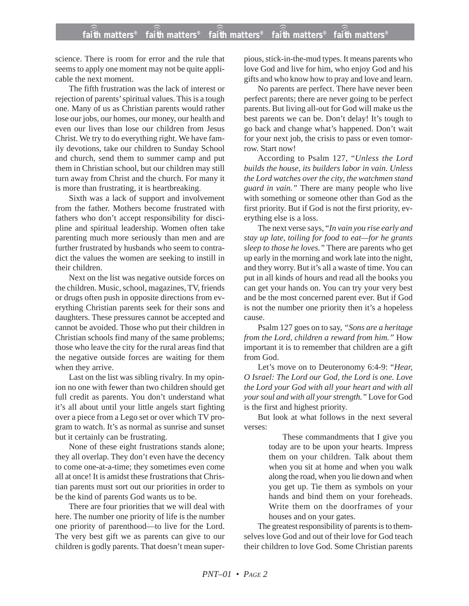science. There is room for error and the rule that seems to apply one moment may not be quite applicable the next moment.

The fifth frustration was the lack of interest or rejection of parents' spiritual values. This is a tough one. Many of us as Christian parents would rather lose our jobs, our homes, our money, our health and even our lives than lose our children from Jesus Christ. We try to do everything right. We have family devotions, take our children to Sunday School and church, send them to summer camp and put them in Christian school, but our children may still turn away from Christ and the church. For many it is more than frustrating, it is heartbreaking.

Sixth was a lack of support and involvement from the father. Mothers become frustrated with fathers who don't accept responsibility for discipline and spiritual leadership. Women often take parenting much more seriously than men and are further frustrated by husbands who seem to contradict the values the women are seeking to instill in their children.

Next on the list was negative outside forces on the children. Music, school, magazines, TV, friends or drugs often push in opposite directions from everything Christian parents seek for their sons and daughters. These pressures cannot be accepted and cannot be avoided. Those who put their children in Christian schools find many of the same problems; those who leave the city for the rural areas find that the negative outside forces are waiting for them when they arrive.

Last on the list was sibling rivalry. In my opinion no one with fewer than two children should get full credit as parents. You don't understand what it's all about until your little angels start fighting over a piece from a Lego set or over which TV program to watch. It's as normal as sunrise and sunset but it certainly can be frustrating.

None of these eight frustrations stands alone; they all overlap. They don't even have the decency to come one-at-a-time; they sometimes even come all at once! It is amidst these frustrations that Christian parents must sort out our priorities in order to be the kind of parents God wants us to be.

There are four priorities that we will deal with here. The number one priority of life is the number one priority of parenthood—to live for the Lord. The very best gift we as parents can give to our children is godly parents. That doesn't mean super-

pious, stick-in-the-mud types. It means parents who love God and live for him, who enjoy God and his gifts and who know how to pray and love and learn.

No parents are perfect. There have never been perfect parents; there are never going to be perfect parents. But living all-out for God will make us the best parents we can be. Don't delay! It's tough to go back and change what's happened. Don't wait for your next job, the crisis to pass or even tomorrow. Start now!

According to Psalm 127, "*Unless the Lord builds the house, its builders labor in vain. Unless the Lord watches over the city, the watchmen stand guard in vain."* There are many people who live with something or someone other than God as the first priority. But if God is not the first priority, everything else is a loss.

The next verse says, "*In vain you rise early and stay up late, toiling for food to eat—for he grants sleep to those he loves."* There are parents who get up early in the morning and work late into the night, and they worry. But it's all a waste of time. You can put in all kinds of hours and read all the books you can get your hands on. You can try your very best and be the most concerned parent ever. But if God is not the number one priority then it's a hopeless cause.

Psalm 127 goes on to say, *"Sons are a heritage from the Lord, children a reward from him."* How important it is to remember that children are a gift from God.

Let's move on to Deuteronomy 6:4-9: "*Hear, O Israel: The Lord our God, the Lord is one. Love the Lord your God with all your heart and with all your soul and with all your strength."* Love for God is the first and highest priority.

But look at what follows in the next several verses:

> These commandments that I give you today are to be upon your hearts. Impress them on your children. Talk about them when you sit at home and when you walk along the road, when you lie down and when you get up. Tie them as symbols on your hands and bind them on your foreheads. Write them on the doorframes of your houses and on your gates.

The greatest responsibility of parents is to themselves love God and out of their love for God teach their children to love God. Some Christian parents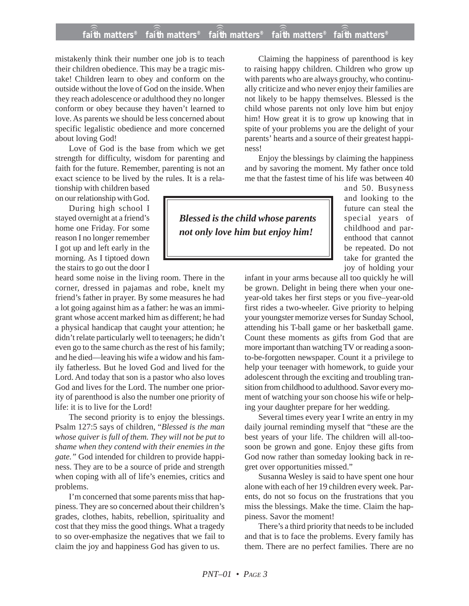## **faith matters® faith matters® faith matters® faith matters® faith matters®** ))) ))) ))) )))  $fa\hat{i}\hat{f}h$  matters $^{\circ}$  fa $\hat{i}\hat{f}h$  matters $^{\circ}$

mistakenly think their number one job is to teach their children obedience. This may be a tragic mistake! Children learn to obey and conform on the outside without the love of God on the inside. When they reach adolescence or adulthood they no longer conform or obey because they haven't learned to love. As parents we should be less concerned about specific legalistic obedience and more concerned about loving God!

Love of God is the base from which we get strength for difficulty, wisdom for parenting and faith for the future. Remember, parenting is not an exact science to be lived by the rules. It is a rela-

tionship with children based on our relationship with God.

During high school I stayed overnight at a friend's home one Friday. For some reason I no longer remember I got up and left early in the morning. As I tiptoed down the stairs to go out the door I

heard some noise in the living room. There in the corner, dressed in pajamas and robe, knelt my friend's father in prayer. By some measures he had a lot going against him as a father: he was an immigrant whose accent marked him as different; he had a physical handicap that caught your attention; he didn't relate particularly well to teenagers; he didn't even go to the same church as the rest of his family; and he died—leaving his wife a widow and his family fatherless. But he loved God and lived for the Lord. And today that son is a pastor who also loves God and lives for the Lord. The number one priority of parenthood is also the number one priority of life: it is to live for the Lord!

The second priority is to enjoy the blessings. Psalm 127:5 says of children, "*Blessed is the man whose quiver is full of them. They will not be put to shame when they contend with their enemies in the gate."* God intended for children to provide happiness. They are to be a source of pride and strength when coping with all of life's enemies, critics and problems.

I'm concerned that some parents miss that happiness. They are so concerned about their children's grades, clothes, habits, rebellion, spirituality and cost that they miss the good things. What a tragedy to so over-emphasize the negatives that we fail to claim the joy and happiness God has given to us.

Claiming the happiness of parenthood is key to raising happy children. Children who grow up with parents who are always grouchy, who continually criticize and who never enjoy their families are not likely to be happy themselves. Blessed is the child whose parents not only love him but enjoy him! How great it is to grow up knowing that in spite of your problems you are the delight of your parents' hearts and a source of their greatest happiness!

Enjoy the blessings by claiming the happiness and by savoring the moment. My father once told me that the fastest time of his life was between 40

*Blessed is the child whose parents not only love him but enjoy him!*

and 50. Busyness and looking to the future can steal the special years of childhood and parenthood that cannot be repeated. Do not take for granted the joy of holding your

infant in your arms because all too quickly he will be grown. Delight in being there when your oneyear-old takes her first steps or you five–year-old first rides a two-wheeler. Give priority to helping your youngster memorize verses for Sunday School, attending his T-ball game or her basketball game. Count these moments as gifts from God that are more important than watching TV or reading a soonto-be-forgotten newspaper. Count it a privilege to help your teenager with homework, to guide your adolescent through the exciting and troubling transition from childhood to adulthood. Savor every moment of watching your son choose his wife or helping your daughter prepare for her wedding.

Several times every year I write an entry in my daily journal reminding myself that "these are the best years of your life. The children will all-toosoon be grown and gone. Enjoy these gifts from God now rather than someday looking back in regret over opportunities missed."

Susanna Wesley is said to have spent one hour alone with each of her 19 children every week. Parents, do not so focus on the frustrations that you miss the blessings. Make the time. Claim the happiness. Savor the moment!

There's a third priority that needs to be included and that is to face the problems. Every family has them. There are no perfect families. There are no